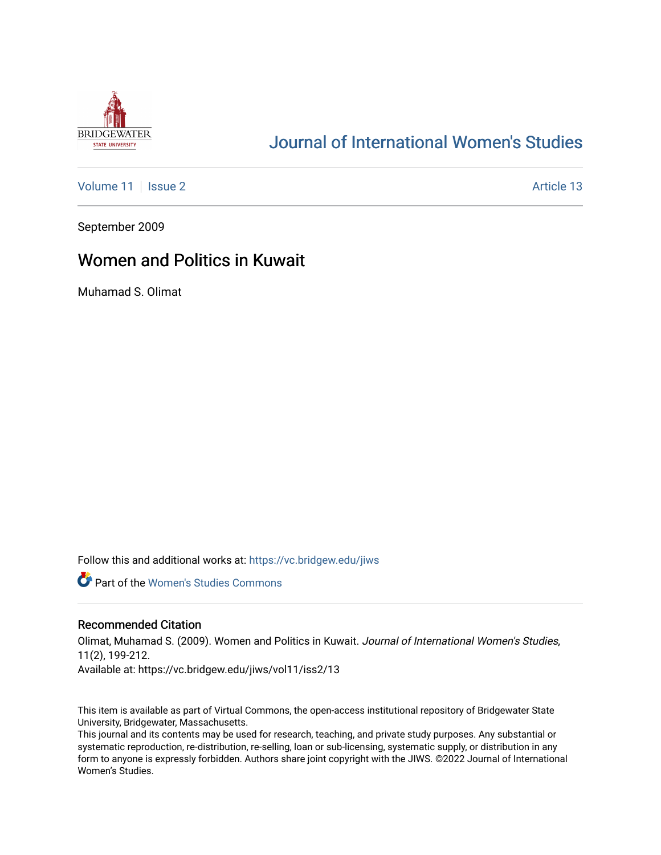

# [Journal of International Women's Studies](https://vc.bridgew.edu/jiws)

[Volume 11](https://vc.bridgew.edu/jiws/vol11) | [Issue 2](https://vc.bridgew.edu/jiws/vol11/iss2) Article 13

September 2009

## Women and Politics in Kuwait

Muhamad S. Olimat

Follow this and additional works at: [https://vc.bridgew.edu/jiws](https://vc.bridgew.edu/jiws?utm_source=vc.bridgew.edu%2Fjiws%2Fvol11%2Fiss2%2F13&utm_medium=PDF&utm_campaign=PDFCoverPages)

**Part of the Women's Studies Commons** 

#### Recommended Citation

Olimat, Muhamad S. (2009). Women and Politics in Kuwait. Journal of International Women's Studies, 11(2), 199-212. Available at: https://vc.bridgew.edu/jiws/vol11/iss2/13

This item is available as part of Virtual Commons, the open-access institutional repository of Bridgewater State University, Bridgewater, Massachusetts.

This journal and its contents may be used for research, teaching, and private study purposes. Any substantial or systematic reproduction, re-distribution, re-selling, loan or sub-licensing, systematic supply, or distribution in any form to anyone is expressly forbidden. Authors share joint copyright with the JIWS. ©2022 Journal of International Women's Studies.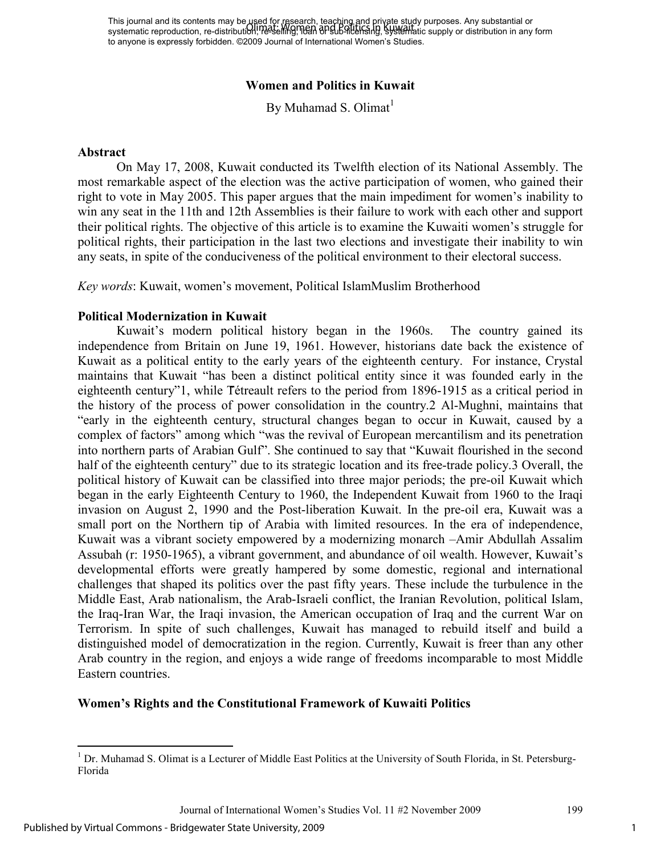This journal and its contents may be used for research, teaching and priγate study purposes. Any substantial or This journal and its contents may be only the statem, reading this private state pubbles. Any substantial or<br>systematic reproduction, re-distribution, reseling, hean and Dalballersing, systematic supply or distribution in to anyone is expressly forbidden. ©2009 Journal of International Women's Studies.

#### **Women and Politics in Kuwait**

By Muhamad S. Olimat $<sup>1</sup>$ </sup>

#### **Abstract**

On May 17, 2008, Kuwait conducted its Twelfth election of its National Assembly. The most remarkable aspect of the election was the active participation of women, who gained their right to vote in May 2005. This paper argues that the main impediment for women's inability to win any seat in the 11th and 12th Assemblies is their failure to work with each other and support their political rights. The objective of this article is to examine the Kuwaiti women's struggle for political rights, their participation in the last two elections and investigate their inability to win any seats, in spite of the conduciveness of the political environment to their electoral success.

*Key words*: Kuwait, women's movement, Political IslamMuslim Brotherhood

#### **Political Modernization in Kuwait**

Kuwait's modern political history began in the 1960s. The country gained its independence from Britain on June 19, 1961. However, historians date back the existence of Kuwait as a political entity to the early years of the eighteenth century. For instance, Crystal maintains that Kuwait "has been a distinct political entity since it was founded early in the eighteenth century"1, while Tétreault refers to the period from 1896-1915 as a critical period in the history of the process of power consolidation in the country.2 Al-Mughni, maintains that "early in the eighteenth century, structural changes began to occur in Kuwait, caused by a complex of factors" among which "was the revival of European mercantilism and its penetration into northern parts of Arabian Gulf". She continued to say that "Kuwait flourished in the second half of the eighteenth century" due to its strategic location and its free-trade policy.3 Overall, the political history of Kuwait can be classified into three major periods; the pre-oil Kuwait which began in the early Eighteenth Century to 1960, the Independent Kuwait from 1960 to the Iraqi invasion on August 2, 1990 and the Post-liberation Kuwait. In the pre-oil era, Kuwait was a small port on the Northern tip of Arabia with limited resources. In the era of independence, Kuwait was a vibrant society empowered by a modernizing monarch –Amir Abdullah Assalim Assubah (r: 1950-1965), a vibrant government, and abundance of oil wealth. However, Kuwait's developmental efforts were greatly hampered by some domestic, regional and international challenges that shaped its politics over the past fifty years. These include the turbulence in the Middle East, Arab nationalism, the Arab-Israeli conflict, the Iranian Revolution, political Islam, the Iraq-Iran War, the Iraqi invasion, the American occupation of Iraq and the current War on Terrorism. In spite of such challenges, Kuwait has managed to rebuild itself and build a distinguished model of democratization in the region. Currently, Kuwait is freer than any other Arab country in the region, and enjoys a wide range of freedoms incomparable to most Middle Eastern countries.

#### **Women's Rights and the Constitutional Framework of Kuwaiti Politics**

-

<sup>&</sup>lt;sup>1</sup> Dr. Muhamad S. Olimat is a Lecturer of Middle East Politics at the University of South Florida, in St. Petersburg-Florida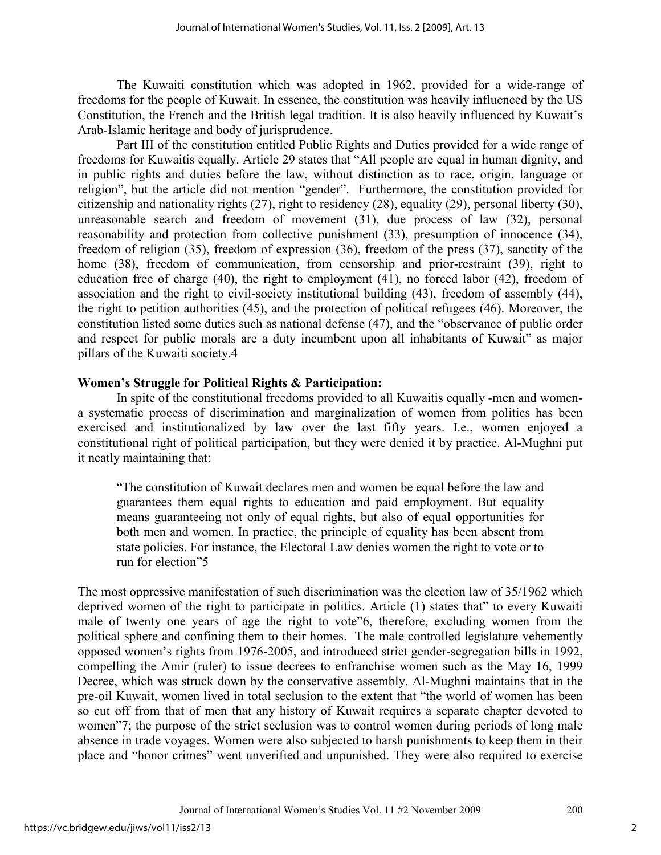The Kuwaiti constitution which was adopted in 1962, provided for a wide-range of freedoms for the people of Kuwait. In essence, the constitution was heavily influenced by the US Constitution, the French and the British legal tradition. It is also heavily influenced by Kuwait's Arab-Islamic heritage and body of jurisprudence.

Part III of the constitution entitled Public Rights and Duties provided for a wide range of freedoms for Kuwaitis equally. Article 29 states that "All people are equal in human dignity, and in public rights and duties before the law, without distinction as to race, origin, language or religion", but the article did not mention "gender". Furthermore, the constitution provided for citizenship and nationality rights (27), right to residency (28), equality (29), personal liberty (30), unreasonable search and freedom of movement (31), due process of law (32), personal reasonability and protection from collective punishment (33), presumption of innocence (34), freedom of religion (35), freedom of expression (36), freedom of the press (37), sanctity of the home (38), freedom of communication, from censorship and prior-restraint (39), right to education free of charge (40), the right to employment (41), no forced labor (42), freedom of association and the right to civil-society institutional building (43), freedom of assembly (44), the right to petition authorities (45), and the protection of political refugees (46). Moreover, the constitution listed some duties such as national defense (47), and the "observance of public order and respect for public morals are a duty incumbent upon all inhabitants of Kuwait" as major pillars of the Kuwaiti society.4

## **Women's Struggle for Political Rights & Participation:**

In spite of the constitutional freedoms provided to all Kuwaitis equally -men and womena systematic process of discrimination and marginalization of women from politics has been exercised and institutionalized by law over the last fifty years. I.e., women enjoyed a constitutional right of political participation, but they were denied it by practice. Al-Mughni put it neatly maintaining that:

"The constitution of Kuwait declares men and women be equal before the law and guarantees them equal rights to education and paid employment. But equality means guaranteeing not only of equal rights, but also of equal opportunities for both men and women. In practice, the principle of equality has been absent from state policies. For instance, the Electoral Law denies women the right to vote or to run for election"5

The most oppressive manifestation of such discrimination was the election law of 35/1962 which deprived women of the right to participate in politics. Article (1) states that" to every Kuwaiti male of twenty one years of age the right to vote"6, therefore, excluding women from the political sphere and confining them to their homes. The male controlled legislature vehemently opposed women's rights from 1976-2005, and introduced strict gender-segregation bills in 1992, compelling the Amir (ruler) to issue decrees to enfranchise women such as the May 16, 1999 Decree, which was struck down by the conservative assembly. Al-Mughni maintains that in the pre-oil Kuwait, women lived in total seclusion to the extent that "the world of women has been so cut off from that of men that any history of Kuwait requires a separate chapter devoted to women"7; the purpose of the strict seclusion was to control women during periods of long male absence in trade voyages. Women were also subjected to harsh punishments to keep them in their place and "honor crimes" went unverified and unpunished. They were also required to exercise

2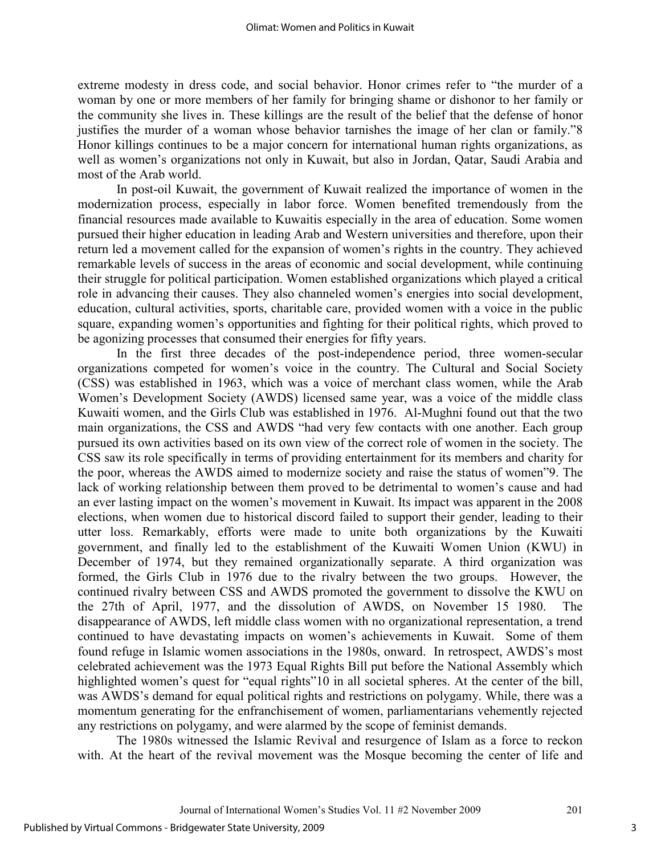extreme modesty in dress code, and social behavior. Honor crimes refer to "the murder of a woman by one or more members of her family for bringing shame or dishonor to her family or the community she lives in. These killings are the result of the belief that the defense of honor justifies the murder of a woman whose behavior tarnishes the image of her clan or family."8 Honor killings continues to be a major concern for international human rights organizations, as well as women's organizations not only in Kuwait, but also in Jordan, Qatar, Saudi Arabia and most of the Arab world.

In post-oil Kuwait, the government of Kuwait realized the importance of women in the modernization process, especially in labor force. Women benefited tremendously from the financial resources made available to Kuwaitis especially in the area of education. Some women pursued their higher education in leading Arab and Western universities and therefore, upon their return led a movement called for the expansion of women's rights in the country. They achieved remarkable levels of success in the areas of economic and social development, while continuing their struggle for political participation. Women established organizations which played a critical role in advancing their causes. They also channeled women's energies into social development, education, cultural activities, sports, charitable care, provided women with a voice in the public square, expanding women's opportunities and fighting for their political rights, which proved to be agonizing processes that consumed their energies for fifty years.

In the first three decades of the post-independence period, three women-secular organizations competed for women's voice in the country. The Cultural and Social Society (CSS) was established in 1963, which was a voice of merchant class women, while the Arab Women's Development Society (AWDS) licensed same year, was a voice of the middle class Kuwaiti women, and the Girls Club was established in 1976. Al-Mughni found out that the two main organizations, the CSS and AWDS "had very few contacts with one another. Each group pursued its own activities based on its own view of the correct role of women in the society. The CSS saw its role specifically in terms of providing entertainment for its members and charity for the poor, whereas the AWDS aimed to modernize society and raise the status of women"9. The lack of working relationship between them proved to be detrimental to women's cause and had an ever lasting impact on the women's movement in Kuwait. Its impact was apparent in the 2008 elections, when women due to historical discord failed to support their gender, leading to their utter loss. Remarkably, efforts were made to unite both organizations by the Kuwaiti government, and finally led to the establishment of the Kuwaiti Women Union (KWU) in December of 1974, but they remained organizationally separate. A third organization was formed, the Girls Club in 1976 due to the rivalry between the two groups. However, the continued rivalry between CSS and AWDS promoted the government to dissolve the KWU on the 27th of April, 1977, and the dissolution of AWDS, on November 15 1980. The disappearance of AWDS, left middle class women with no organizational representation, a trend continued to have devastating impacts on women's achievements in Kuwait. Some of them found refuge in Islamic women associations in the 1980s, onward. In retrospect, AWDS's most celebrated achievement was the 1973 Equal Rights Bill put before the National Assembly which highlighted women's quest for "equal rights"10 in all societal spheres. At the center of the bill, was AWDS's demand for equal political rights and restrictions on polygamy. While, there was a momentum generating for the enfranchisement of women, parliamentarians vehemently rejected any restrictions on polygamy, and were alarmed by the scope of feminist demands.

The 1980s witnessed the Islamic Revival and resurgence of Islam as a force to reckon with. At the heart of the revival movement was the Mosque becoming the center of life and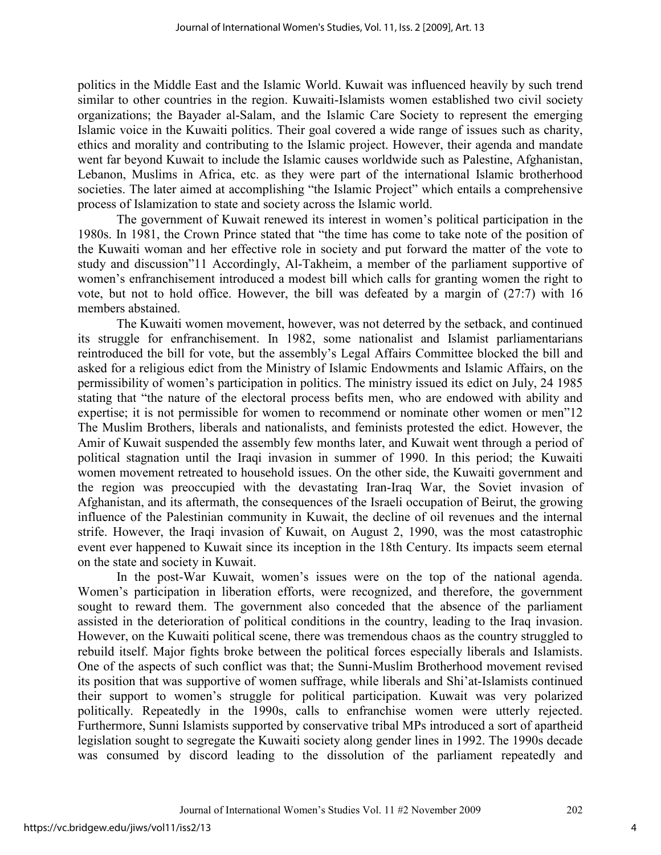politics in the Middle East and the Islamic World. Kuwait was influenced heavily by such trend similar to other countries in the region. Kuwaiti-Islamists women established two civil society organizations; the Bayader al-Salam, and the Islamic Care Society to represent the emerging Islamic voice in the Kuwaiti politics. Their goal covered a wide range of issues such as charity, ethics and morality and contributing to the Islamic project. However, their agenda and mandate went far beyond Kuwait to include the Islamic causes worldwide such as Palestine, Afghanistan, Lebanon, Muslims in Africa, etc. as they were part of the international Islamic brotherhood societies. The later aimed at accomplishing "the Islamic Project" which entails a comprehensive process of Islamization to state and society across the Islamic world.

The government of Kuwait renewed its interest in women's political participation in the 1980s. In 1981, the Crown Prince stated that "the time has come to take note of the position of the Kuwaiti woman and her effective role in society and put forward the matter of the vote to study and discussion"11 Accordingly, Al-Takheim, a member of the parliament supportive of women's enfranchisement introduced a modest bill which calls for granting women the right to vote, but not to hold office. However, the bill was defeated by a margin of (27:7) with 16 members abstained.

The Kuwaiti women movement, however, was not deterred by the setback, and continued its struggle for enfranchisement. In 1982, some nationalist and Islamist parliamentarians reintroduced the bill for vote, but the assembly's Legal Affairs Committee blocked the bill and asked for a religious edict from the Ministry of Islamic Endowments and Islamic Affairs, on the permissibility of women's participation in politics. The ministry issued its edict on July, 24 1985 stating that "the nature of the electoral process befits men, who are endowed with ability and expertise; it is not permissible for women to recommend or nominate other women or men"12 The Muslim Brothers, liberals and nationalists, and feminists protested the edict. However, the Amir of Kuwait suspended the assembly few months later, and Kuwait went through a period of political stagnation until the Iraqi invasion in summer of 1990. In this period; the Kuwaiti women movement retreated to household issues. On the other side, the Kuwaiti government and the region was preoccupied with the devastating Iran-Iraq War, the Soviet invasion of Afghanistan, and its aftermath, the consequences of the Israeli occupation of Beirut, the growing influence of the Palestinian community in Kuwait, the decline of oil revenues and the internal strife. However, the Iraqi invasion of Kuwait, on August 2, 1990, was the most catastrophic event ever happened to Kuwait since its inception in the 18th Century. Its impacts seem eternal on the state and society in Kuwait.

In the post-War Kuwait, women's issues were on the top of the national agenda. Women's participation in liberation efforts, were recognized, and therefore, the government sought to reward them. The government also conceded that the absence of the parliament assisted in the deterioration of political conditions in the country, leading to the Iraq invasion. However, on the Kuwaiti political scene, there was tremendous chaos as the country struggled to rebuild itself. Major fights broke between the political forces especially liberals and Islamists. One of the aspects of such conflict was that; the Sunni-Muslim Brotherhood movement revised its position that was supportive of women suffrage, while liberals and Shi'at-Islamists continued their support to women's struggle for political participation. Kuwait was very polarized politically. Repeatedly in the 1990s, calls to enfranchise women were utterly rejected. Furthermore, Sunni Islamists supported by conservative tribal MPs introduced a sort of apartheid legislation sought to segregate the Kuwaiti society along gender lines in 1992. The 1990s decade was consumed by discord leading to the dissolution of the parliament repeatedly and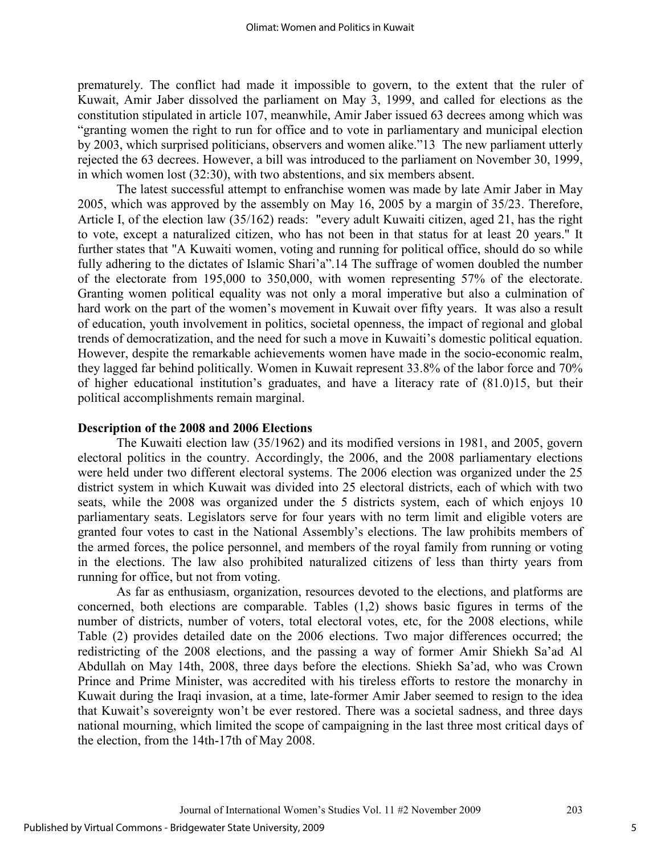prematurely. The conflict had made it impossible to govern, to the extent that the ruler of Kuwait, Amir Jaber dissolved the parliament on May 3, 1999, and called for elections as the constitution stipulated in article 107, meanwhile, Amir Jaber issued 63 decrees among which was "granting women the right to run for office and to vote in parliamentary and municipal election by 2003, which surprised politicians, observers and women alike."13 The new parliament utterly rejected the 63 decrees. However, a bill was introduced to the parliament on November 30, 1999, in which women lost (32:30), with two abstentions, and six members absent.

The latest successful attempt to enfranchise women was made by late Amir Jaber in May 2005, which was approved by the assembly on May 16, 2005 by a margin of 35/23. Therefore, Article I, of the election law (35/162) reads: "every adult Kuwaiti citizen, aged 21, has the right to vote, except a naturalized citizen, who has not been in that status for at least 20 years." It further states that "A Kuwaiti women, voting and running for political office, should do so while fully adhering to the dictates of Islamic Shari'a".14 The suffrage of women doubled the number of the electorate from 195,000 to 350,000, with women representing 57% of the electorate. Granting women political equality was not only a moral imperative but also a culmination of hard work on the part of the women's movement in Kuwait over fifty years. It was also a result of education, youth involvement in politics, societal openness, the impact of regional and global trends of democratization, and the need for such a move in Kuwaiti's domestic political equation. However, despite the remarkable achievements women have made in the socio-economic realm, they lagged far behind politically. Women in Kuwait represent 33.8% of the labor force and 70% of higher educational institution's graduates, and have a literacy rate of (81.0)15, but their political accomplishments remain marginal.

#### **Description of the 2008 and 2006 Elections**

 The Kuwaiti election law (35/1962) and its modified versions in 1981, and 2005, govern electoral politics in the country. Accordingly, the 2006, and the 2008 parliamentary elections were held under two different electoral systems. The 2006 election was organized under the 25 district system in which Kuwait was divided into 25 electoral districts, each of which with two seats, while the 2008 was organized under the 5 districts system, each of which enjoys 10 parliamentary seats. Legislators serve for four years with no term limit and eligible voters are granted four votes to cast in the National Assembly's elections. The law prohibits members of the armed forces, the police personnel, and members of the royal family from running or voting in the elections. The law also prohibited naturalized citizens of less than thirty years from running for office, but not from voting.

As far as enthusiasm, organization, resources devoted to the elections, and platforms are concerned, both elections are comparable. Tables (1,2) shows basic figures in terms of the number of districts, number of voters, total electoral votes, etc, for the 2008 elections, while Table (2) provides detailed date on the 2006 elections. Two major differences occurred; the redistricting of the 2008 elections, and the passing a way of former Amir Shiekh Sa'ad Al Abdullah on May 14th, 2008, three days before the elections. Shiekh Sa'ad, who was Crown Prince and Prime Minister, was accredited with his tireless efforts to restore the monarchy in Kuwait during the Iraqi invasion, at a time, late-former Amir Jaber seemed to resign to the idea that Kuwait's sovereignty won't be ever restored. There was a societal sadness, and three days national mourning, which limited the scope of campaigning in the last three most critical days of the election, from the 14th-17th of May 2008.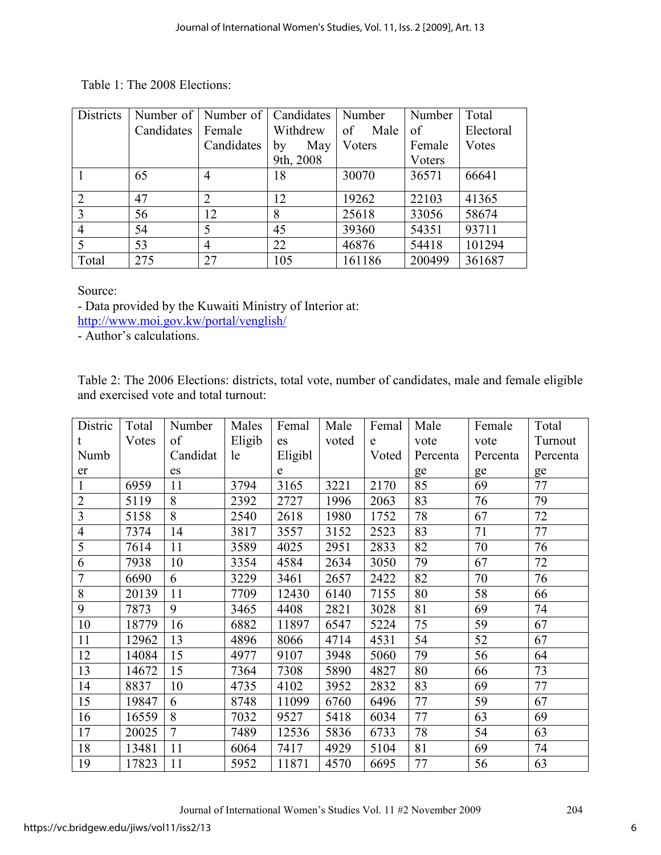Table 1: The 2008 Elections:

| <b>Districts</b> |            | Number of   Number of   Candidates |           | Number     | Number | Total     |
|------------------|------------|------------------------------------|-----------|------------|--------|-----------|
|                  | Candidates | Female                             | Withdrew  | of<br>Male | of     | Electoral |
|                  |            | Candidates                         | May<br>by | Voters     | Female | Votes     |
|                  |            |                                    | 9th, 2008 |            | Voters |           |
|                  | 65         | 4                                  | 18        | 30070      | 36571  | 66641     |
|                  |            |                                    |           |            |        |           |
| $\overline{2}$   | 47         | 2                                  | 12        | 19262      | 22103  | 41365     |
| $\mathcal{R}$    | 56         | 12                                 | 8         | 25618      | 33056  | 58674     |
| 4                | 54         | 5                                  | 45        | 39360      | 54351  | 93711     |
|                  | 53         | 4                                  | 22        | 46876      | 54418  | 101294    |
| Total            | 275        | 27                                 | 105       | 161186     | 200499 | 361687    |

Source:

- Data provided by the Kuwaiti Ministry of Interior at:

http://www.moi.gov.kw/portal/venglish/

- Author's calculations.

Table 2: The 2006 Elections: districts, total vote, number of candidates, male and female eligible and exercised vote and total turnout:

| Distric        | Total | Number         | Males  | Femal       | Male  | Femal | Male     | Female   | Total    |
|----------------|-------|----------------|--------|-------------|-------|-------|----------|----------|----------|
|                | Votes | of             | Eligib | es          | voted | e     | vote     | vote     | Turnout  |
| Numb           |       | Candidat       | le     | Eligibl     |       | Voted | Percenta | Percenta | Percenta |
| er             |       | es             |        | $\mathbf e$ |       |       | ge       | ge       | ge       |
| $\mathbf{1}$   | 6959  | 11             | 3794   | 3165        | 3221  | 2170  | 85       | 69       | 77       |
| $\overline{2}$ | 5119  | 8              | 2392   | 2727        | 1996  | 2063  | 83       | 76       | 79       |
| 3              | 5158  | 8              | 2540   | 2618        | 1980  | 1752  | 78       | 67       | 72       |
| $\overline{4}$ | 7374  | 14             | 3817   | 3557        | 3152  | 2523  | 83       | 71       | 77       |
| 5              | 7614  | 11             | 3589   | 4025        | 2951  | 2833  | 82       | 70       | 76       |
| 6              | 7938  | 10             | 3354   | 4584        | 2634  | 3050  | 79       | 67       | 72       |
| $\overline{7}$ | 6690  | 6              | 3229   | 3461        | 2657  | 2422  | 82       | 70       | 76       |
| 8              | 20139 | 11             | 7709   | 12430       | 6140  | 7155  | 80       | 58       | 66       |
| 9              | 7873  | 9              | 3465   | 4408        | 2821  | 3028  | 81       | 69       | 74       |
| 10             | 18779 | 16             | 6882   | 11897       | 6547  | 5224  | 75       | 59       | 67       |
| 11             | 12962 | 13             | 4896   | 8066        | 4714  | 4531  | 54       | 52       | 67       |
| 12             | 14084 | 15             | 4977   | 9107        | 3948  | 5060  | 79       | 56       | 64       |
| 13             | 14672 | 15             | 7364   | 7308        | 5890  | 4827  | 80       | 66       | 73       |
| 14             | 8837  | 10             | 4735   | 4102        | 3952  | 2832  | 83       | 69       | 77       |
| 15             | 19847 | 6              | 8748   | 11099       | 6760  | 6496  | 77       | 59       | 67       |
| 16             | 16559 | 8              | 7032   | 9527        | 5418  | 6034  | 77       | 63       | 69       |
| 17             | 20025 | $\overline{7}$ | 7489   | 12536       | 5836  | 6733  | 78       | 54       | 63       |
| 18             | 13481 | 11             | 6064   | 7417        | 4929  | 5104  | 81       | 69       | 74       |
| 19             | 17823 | 11             | 5952   | 11871       | 4570  | 6695  | 77       | 56       | 63       |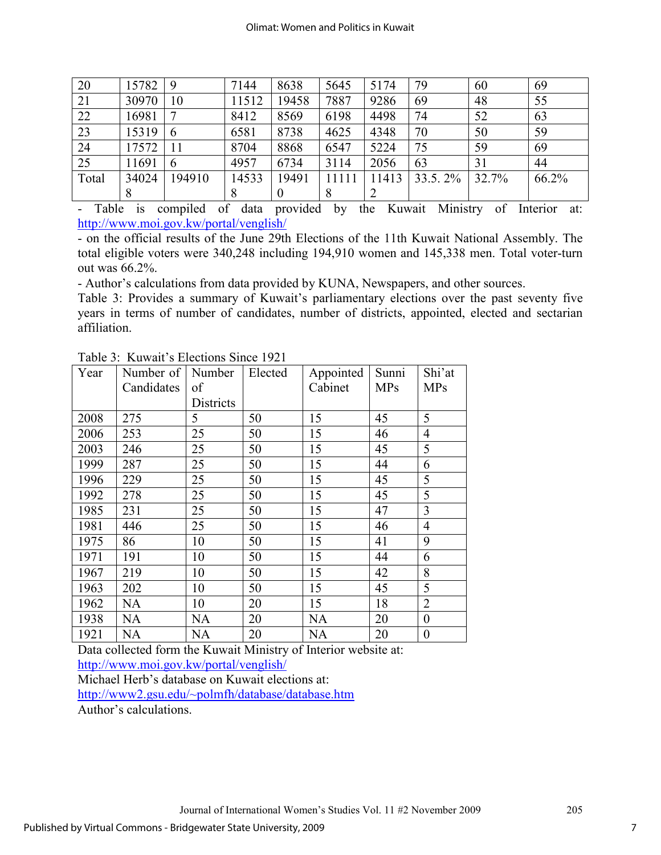| 20    | 15782 | -9           | 7144  | 8638     | 5645 | 5174 | 79      | 60    | 69    |
|-------|-------|--------------|-------|----------|------|------|---------|-------|-------|
| 21    | 30970 | 10           | 11512 | 19458    | 7887 | 9286 | 69      | 48    | 55    |
| 22    | 16981 | $\mathbf{r}$ | 8412  | 8569     | 6198 | 4498 | 74      | 52    | 63    |
| 23    | 15319 | 6            | 6581  | 8738     | 4625 | 4348 | 70      | 50    | 59    |
| 24    | 17572 |              | 8704  | 8868     | 6547 | 5224 | 75      | 59    | 69    |
| 25    | 11691 | 6            | 4957  | 6734     | 3114 | 2056 | 63      | 31    | 44    |
| Total | 34024 | 194910       | 14533 | 19491    |      | 1413 | 33.5.2% | 32.7% | 66.2% |
|       | 8     |              | 8     | $\theta$ | 8    |      |         |       |       |

- Table is compiled of data provided by the Kuwait Ministry of Interior at: http://www.moi.gov.kw/portal/venglish/

- on the official results of the June 29th Elections of the 11th Kuwait National Assembly. The total eligible voters were 340,248 including 194,910 women and 145,338 men. Total voter-turn out was 66.2%.

- Author's calculations from data provided by KUNA, Newspapers, and other sources.

Table 3: Provides a summary of Kuwait's parliamentary elections over the past seventy five years in terms of number of candidates, number of districts, appointed, elected and sectarian affiliation.

| Year | Number of   Number |           | Elected | Appointed | Sunni      | Shi'at         |
|------|--------------------|-----------|---------|-----------|------------|----------------|
|      | Candidates         | of        |         | Cabinet   | <b>MPs</b> | <b>MPs</b>     |
|      |                    | Districts |         |           |            |                |
| 2008 | 275                | 5         | 50      | 15        | 45         | 5              |
| 2006 | 253                | 25        | 50      | 15        | 46         | 4              |
| 2003 | 246                | 25        | 50      | 15        | 45         | 5              |
| 1999 | 287                | 25        | 50      | 15        | 44         | 6              |
| 1996 | 229                | 25        | 50      | 15        | 45         | 5              |
| 1992 | 278                | 25        | 50      | 15        | 45         | 5              |
| 1985 | 231                | 25        | 50      | 15        | 47         | 3              |
| 1981 | 446                | 25        | 50      | 15        | 46         | $\overline{4}$ |
| 1975 | 86                 | 10        | 50      | 15        | 41         | 9              |
| 1971 | 191                | 10        | 50      | 15        | 44         | 6              |
| 1967 | 219                | 10        | 50      | 15        | 42         | 8              |
| 1963 | 202                | 10        | 50      | 15        | 45         | 5              |
| 1962 | <b>NA</b>          | 10        | 20      | 15        | 18         | $\overline{2}$ |
| 1938 | <b>NA</b>          | <b>NA</b> | 20      | <b>NA</b> | 20         | $\overline{0}$ |
| 1921 | <b>NA</b>          | <b>NA</b> | 20      | <b>NA</b> | 20         | $\overline{0}$ |

Table 3: Kuwait's Elections Since 1921

Data collected form the Kuwait Ministry of Interior website at: http://www.moi.gov.kw/portal/venglish/

Michael Herb's database on Kuwait elections at: http://www2.gsu.edu/~polmfh/database/database.htm Author's calculations.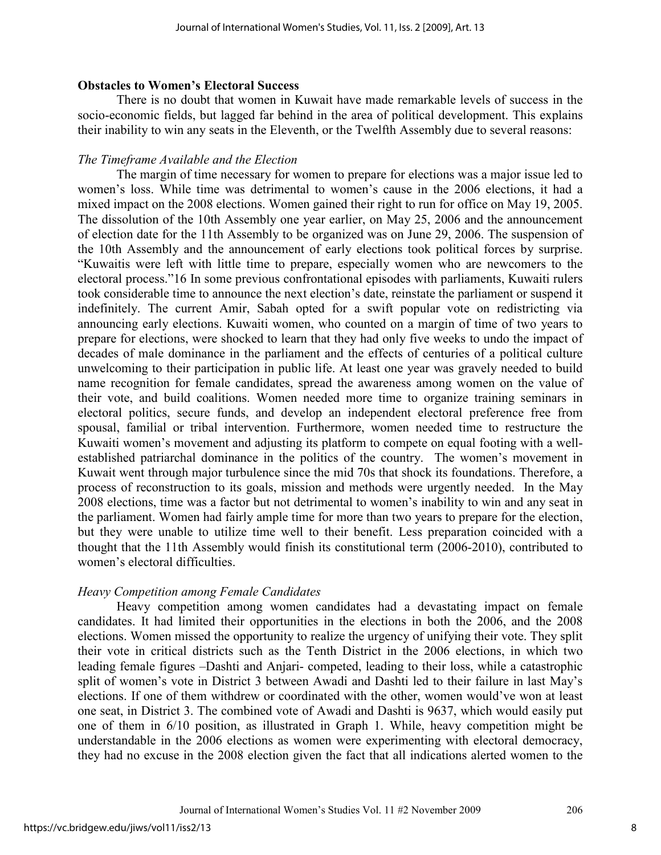## **Obstacles to Women's Electoral Success**

There is no doubt that women in Kuwait have made remarkable levels of success in the socio-economic fields, but lagged far behind in the area of political development. This explains their inability to win any seats in the Eleventh, or the Twelfth Assembly due to several reasons:

## *The Timeframe Available and the Election*

The margin of time necessary for women to prepare for elections was a major issue led to women's loss. While time was detrimental to women's cause in the 2006 elections, it had a mixed impact on the 2008 elections. Women gained their right to run for office on May 19, 2005. The dissolution of the 10th Assembly one year earlier, on May 25, 2006 and the announcement of election date for the 11th Assembly to be organized was on June 29, 2006. The suspension of the 10th Assembly and the announcement of early elections took political forces by surprise. "Kuwaitis were left with little time to prepare, especially women who are newcomers to the electoral process."16 In some previous confrontational episodes with parliaments, Kuwaiti rulers took considerable time to announce the next election's date, reinstate the parliament or suspend it indefinitely. The current Amir, Sabah opted for a swift popular vote on redistricting via announcing early elections. Kuwaiti women, who counted on a margin of time of two years to prepare for elections, were shocked to learn that they had only five weeks to undo the impact of decades of male dominance in the parliament and the effects of centuries of a political culture unwelcoming to their participation in public life. At least one year was gravely needed to build name recognition for female candidates, spread the awareness among women on the value of their vote, and build coalitions. Women needed more time to organize training seminars in electoral politics, secure funds, and develop an independent electoral preference free from spousal, familial or tribal intervention. Furthermore, women needed time to restructure the Kuwaiti women's movement and adjusting its platform to compete on equal footing with a wellestablished patriarchal dominance in the politics of the country. The women's movement in Kuwait went through major turbulence since the mid 70s that shock its foundations. Therefore, a process of reconstruction to its goals, mission and methods were urgently needed. In the May 2008 elections, time was a factor but not detrimental to women's inability to win and any seat in the parliament. Women had fairly ample time for more than two years to prepare for the election, but they were unable to utilize time well to their benefit. Less preparation coincided with a thought that the 11th Assembly would finish its constitutional term (2006-2010), contributed to women's electoral difficulties.

## *Heavy Competition among Female Candidates*

 Heavy competition among women candidates had a devastating impact on female candidates. It had limited their opportunities in the elections in both the 2006, and the 2008 elections. Women missed the opportunity to realize the urgency of unifying their vote. They split their vote in critical districts such as the Tenth District in the 2006 elections, in which two leading female figures –Dashti and Anjari- competed, leading to their loss, while a catastrophic split of women's vote in District 3 between Awadi and Dashti led to their failure in last May's elections. If one of them withdrew or coordinated with the other, women would've won at least one seat, in District 3. The combined vote of Awadi and Dashti is 9637, which would easily put one of them in 6/10 position, as illustrated in Graph 1. While, heavy competition might be understandable in the 2006 elections as women were experimenting with electoral democracy, they had no excuse in the 2008 election given the fact that all indications alerted women to the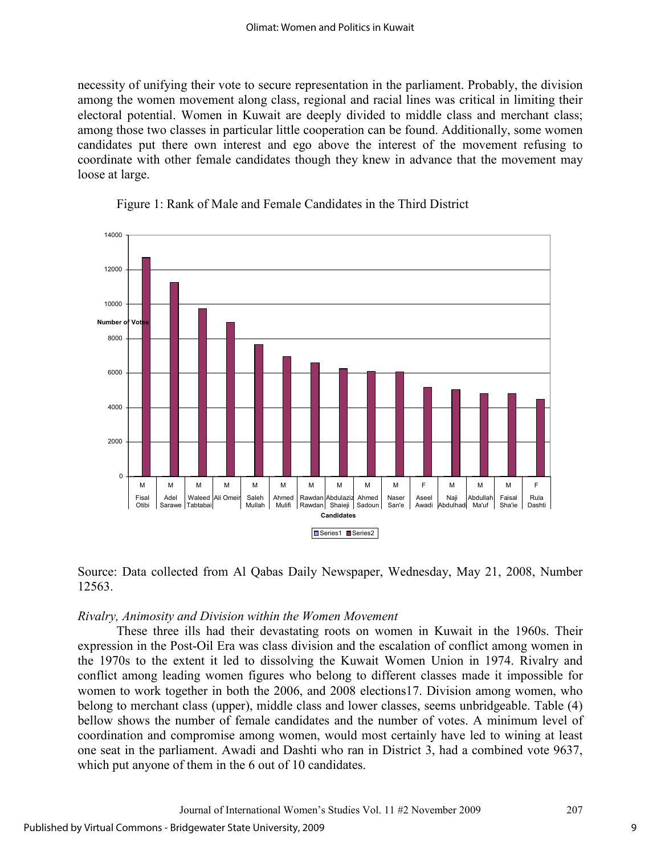necessity of unifying their vote to secure representation in the parliament. Probably, the division among the women movement along class, regional and racial lines was critical in limiting their electoral potential. Women in Kuwait are deeply divided to middle class and merchant class; among those two classes in particular little cooperation can be found. Additionally, some women candidates put there own interest and ego above the interest of the movement refusing to coordinate with other female candidates though they knew in advance that the movement may loose at large.



Figure 1: Rank of Male and Female Candidates in the Third District



## *Rivalry, Animosity and Division within the Women Movement*

These three ills had their devastating roots on women in Kuwait in the 1960s. Their expression in the Post-Oil Era was class division and the escalation of conflict among women in the 1970s to the extent it led to dissolving the Kuwait Women Union in 1974. Rivalry and conflict among leading women figures who belong to different classes made it impossible for women to work together in both the 2006, and 2008 elections17. Division among women, who belong to merchant class (upper), middle class and lower classes, seems unbridgeable. Table (4) bellow shows the number of female candidates and the number of votes. A minimum level of coordination and compromise among women, would most certainly have led to wining at least one seat in the parliament. Awadi and Dashti who ran in District 3, had a combined vote 9637, which put anyone of them in the 6 out of 10 candidates.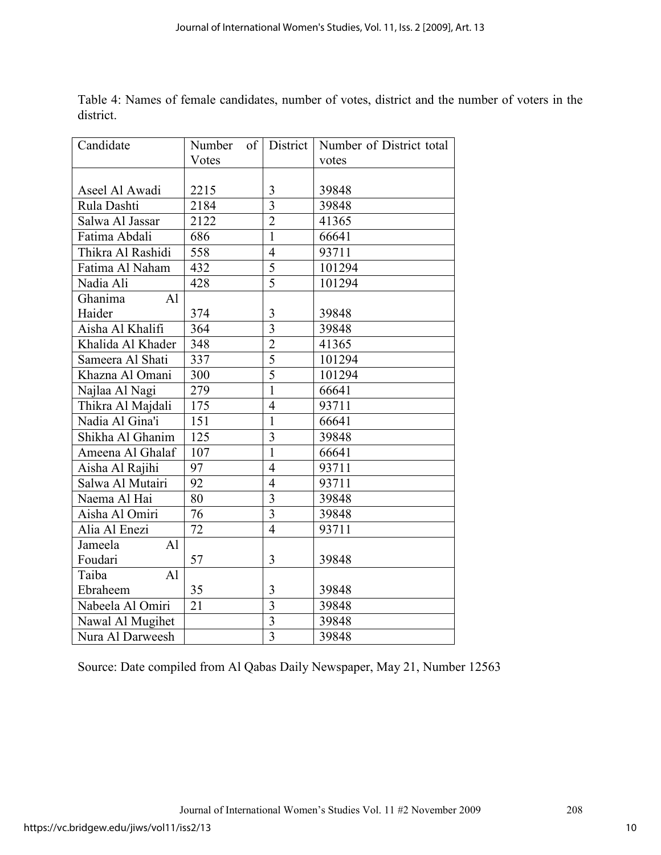| Candidate                 | Number | of District    | Number of District total |
|---------------------------|--------|----------------|--------------------------|
|                           | Votes  |                | votes                    |
|                           |        |                |                          |
| Aseel Al Awadi            | 2215   | 3              | 39848                    |
| Rula Dashti               | 2184   | $\overline{3}$ | 39848                    |
| Salwa Al Jassar           | 2122   | $\overline{2}$ | 41365                    |
| Fatima Abdali             | 686    | $\mathbf{1}$   | 66641                    |
| Thikra Al Rashidi         | 558    | $\overline{4}$ | 93711                    |
| Fatima Al Naham           | 432    | $\overline{5}$ | 101294                   |
| Nadia Ali                 | 428    | $\overline{5}$ | 101294                   |
| Ghanima<br>AI             |        |                |                          |
| Haider                    | 374    | $\overline{3}$ | 39848                    |
| Aisha Al Khalifi          | 364    | $\overline{3}$ | 39848                    |
| Khalida Al Khader         | 348    | $\overline{2}$ | 41365                    |
| Sameera Al Shati          | 337    | $\overline{5}$ | 101294                   |
| Khazna Al Omani           | 300    | $\overline{5}$ | 101294                   |
| Najlaa Al Nagi            | 279    | $\overline{1}$ | 66641                    |
| Thikra Al Majdali         | 175    | $\overline{4}$ | 93711                    |
| Nadia Al Gina'i           | 151    | $\mathbf{1}$   | 66641                    |
| Shikha Al Ghanim          | 125    | $\overline{3}$ | 39848                    |
| Ameena Al Ghalaf          | 107    | $\overline{1}$ | 66641                    |
| Aisha Al Rajihi           | 97     | $\overline{4}$ | 93711                    |
| Salwa Al Mutairi          | 92     | $\overline{4}$ | 93711                    |
| Naema Al Hai              | 80     | $\overline{3}$ | 39848                    |
| Aisha Al Omiri            | 76     | $\overline{3}$ | 39848                    |
| Alia Al Enezi             | 72     | $\overline{4}$ | 93711                    |
| A <sub>1</sub><br>Jameela |        |                |                          |
| Foudari                   | 57     | 3              | 39848                    |
| Taiba<br>AI               |        |                |                          |
| Ebraheem                  | 35     | 3              | 39848                    |
| Nabeela Al Omiri          | 21     | $\overline{3}$ | 39848                    |
| Nawal Al Mugihet          |        | 3              | 39848                    |
| Nura Al Darweesh          |        | $\overline{3}$ | 39848                    |

Table 4: Names of female candidates, number of votes, district and the number of voters in the district.

Source: Date compiled from Al Qabas Daily Newspaper, May 21, Number 12563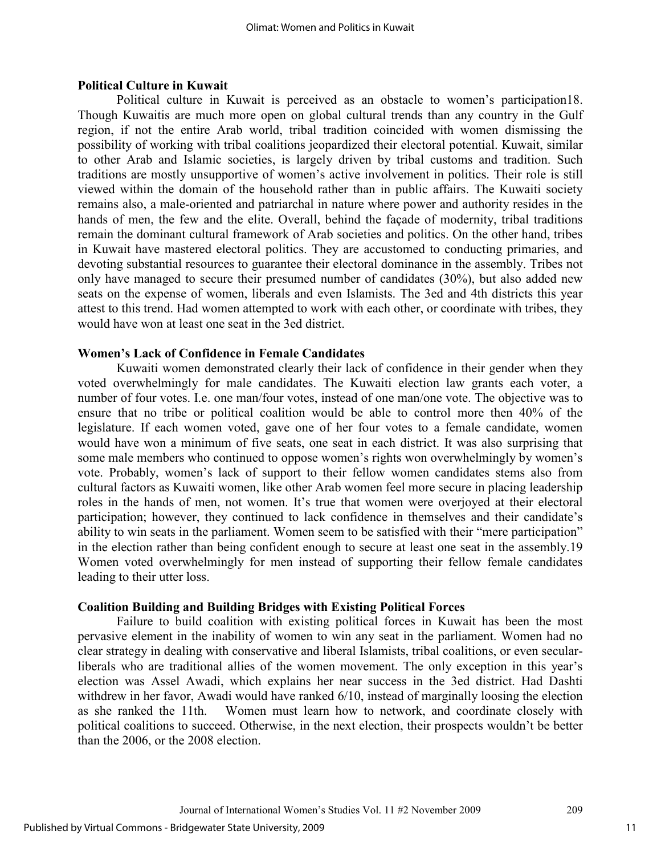#### **Political Culture in Kuwait**

Political culture in Kuwait is perceived as an obstacle to women's participation18. Though Kuwaitis are much more open on global cultural trends than any country in the Gulf region, if not the entire Arab world, tribal tradition coincided with women dismissing the possibility of working with tribal coalitions jeopardized their electoral potential. Kuwait, similar to other Arab and Islamic societies, is largely driven by tribal customs and tradition. Such traditions are mostly unsupportive of women's active involvement in politics. Their role is still viewed within the domain of the household rather than in public affairs. The Kuwaiti society remains also, a male-oriented and patriarchal in nature where power and authority resides in the hands of men, the few and the elite. Overall, behind the façade of modernity, tribal traditions remain the dominant cultural framework of Arab societies and politics. On the other hand, tribes in Kuwait have mastered electoral politics. They are accustomed to conducting primaries, and devoting substantial resources to guarantee their electoral dominance in the assembly. Tribes not only have managed to secure their presumed number of candidates (30%), but also added new seats on the expense of women, liberals and even Islamists. The 3ed and 4th districts this year attest to this trend. Had women attempted to work with each other, or coordinate with tribes, they would have won at least one seat in the 3ed district.

## **Women's Lack of Confidence in Female Candidates**

Kuwaiti women demonstrated clearly their lack of confidence in their gender when they voted overwhelmingly for male candidates. The Kuwaiti election law grants each voter, a number of four votes. I.e. one man/four votes, instead of one man/one vote. The objective was to ensure that no tribe or political coalition would be able to control more then 40% of the legislature. If each women voted, gave one of her four votes to a female candidate, women would have won a minimum of five seats, one seat in each district. It was also surprising that some male members who continued to oppose women's rights won overwhelmingly by women's vote. Probably, women's lack of support to their fellow women candidates stems also from cultural factors as Kuwaiti women, like other Arab women feel more secure in placing leadership roles in the hands of men, not women. It's true that women were overjoyed at their electoral participation; however, they continued to lack confidence in themselves and their candidate's ability to win seats in the parliament. Women seem to be satisfied with their "mere participation" in the election rather than being confident enough to secure at least one seat in the assembly.19 Women voted overwhelmingly for men instead of supporting their fellow female candidates leading to their utter loss.

#### **Coalition Building and Building Bridges with Existing Political Forces**

Failure to build coalition with existing political forces in Kuwait has been the most pervasive element in the inability of women to win any seat in the parliament. Women had no clear strategy in dealing with conservative and liberal Islamists, tribal coalitions, or even secularliberals who are traditional allies of the women movement. The only exception in this year's election was Assel Awadi, which explains her near success in the 3ed district. Had Dashti withdrew in her favor, Awadi would have ranked 6/10, instead of marginally loosing the election as she ranked the 11th. Women must learn how to network, and coordinate closely with political coalitions to succeed. Otherwise, in the next election, their prospects wouldn't be better than the 2006, or the 2008 election.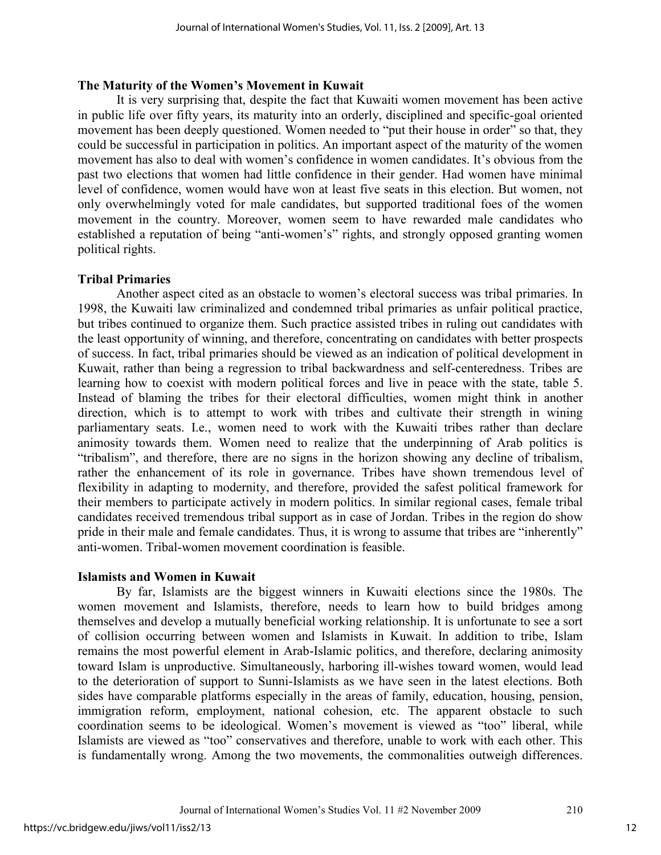## **The Maturity of the Women's Movement in Kuwait**

It is very surprising that, despite the fact that Kuwaiti women movement has been active in public life over fifty years, its maturity into an orderly, disciplined and specific-goal oriented movement has been deeply questioned. Women needed to "put their house in order" so that, they could be successful in participation in politics. An important aspect of the maturity of the women movement has also to deal with women's confidence in women candidates. It's obvious from the past two elections that women had little confidence in their gender. Had women have minimal level of confidence, women would have won at least five seats in this election. But women, not only overwhelmingly voted for male candidates, but supported traditional foes of the women movement in the country. Moreover, women seem to have rewarded male candidates who established a reputation of being "anti-women's" rights, and strongly opposed granting women political rights.

## **Tribal Primaries**

Another aspect cited as an obstacle to women's electoral success was tribal primaries. In 1998, the Kuwaiti law criminalized and condemned tribal primaries as unfair political practice, but tribes continued to organize them. Such practice assisted tribes in ruling out candidates with the least opportunity of winning, and therefore, concentrating on candidates with better prospects of success. In fact, tribal primaries should be viewed as an indication of political development in Kuwait, rather than being a regression to tribal backwardness and self-centeredness. Tribes are learning how to coexist with modern political forces and live in peace with the state, table 5. Instead of blaming the tribes for their electoral difficulties, women might think in another direction, which is to attempt to work with tribes and cultivate their strength in wining parliamentary seats. I.e., women need to work with the Kuwaiti tribes rather than declare animosity towards them. Women need to realize that the underpinning of Arab politics is "tribalism", and therefore, there are no signs in the horizon showing any decline of tribalism, rather the enhancement of its role in governance. Tribes have shown tremendous level of flexibility in adapting to modernity, and therefore, provided the safest political framework for their members to participate actively in modern politics. In similar regional cases, female tribal candidates received tremendous tribal support as in case of Jordan. Tribes in the region do show pride in their male and female candidates. Thus, it is wrong to assume that tribes are "inherently" anti-women. Tribal-women movement coordination is feasible.

## **Islamists and Women in Kuwait**

By far, Islamists are the biggest winners in Kuwaiti elections since the 1980s. The women movement and Islamists, therefore, needs to learn how to build bridges among themselves and develop a mutually beneficial working relationship. It is unfortunate to see a sort of collision occurring between women and Islamists in Kuwait. In addition to tribe, Islam remains the most powerful element in Arab-Islamic politics, and therefore, declaring animosity toward Islam is unproductive. Simultaneously, harboring ill-wishes toward women, would lead to the deterioration of support to Sunni-Islamists as we have seen in the latest elections. Both sides have comparable platforms especially in the areas of family, education, housing, pension, immigration reform, employment, national cohesion, etc. The apparent obstacle to such coordination seems to be ideological. Women's movement is viewed as "too" liberal, while Islamists are viewed as "too" conservatives and therefore, unable to work with each other. This is fundamentally wrong. Among the two movements, the commonalities outweigh differences.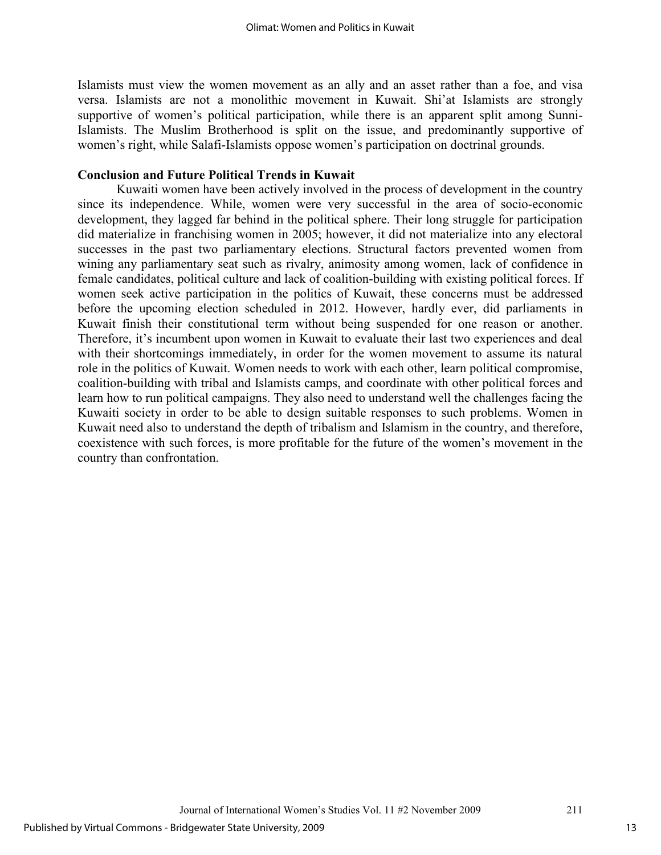Islamists must view the women movement as an ally and an asset rather than a foe, and visa versa. Islamists are not a monolithic movement in Kuwait. Shi'at Islamists are strongly supportive of women's political participation, while there is an apparent split among Sunni-Islamists. The Muslim Brotherhood is split on the issue, and predominantly supportive of women's right, while Salafi-Islamists oppose women's participation on doctrinal grounds.

## **Conclusion and Future Political Trends in Kuwait**

Kuwaiti women have been actively involved in the process of development in the country since its independence. While, women were very successful in the area of socio-economic development, they lagged far behind in the political sphere. Their long struggle for participation did materialize in franchising women in 2005; however, it did not materialize into any electoral successes in the past two parliamentary elections. Structural factors prevented women from wining any parliamentary seat such as rivalry, animosity among women, lack of confidence in female candidates, political culture and lack of coalition-building with existing political forces. If women seek active participation in the politics of Kuwait, these concerns must be addressed before the upcoming election scheduled in 2012. However, hardly ever, did parliaments in Kuwait finish their constitutional term without being suspended for one reason or another. Therefore, it's incumbent upon women in Kuwait to evaluate their last two experiences and deal with their shortcomings immediately, in order for the women movement to assume its natural role in the politics of Kuwait. Women needs to work with each other, learn political compromise, coalition-building with tribal and Islamists camps, and coordinate with other political forces and learn how to run political campaigns. They also need to understand well the challenges facing the Kuwaiti society in order to be able to design suitable responses to such problems. Women in Kuwait need also to understand the depth of tribalism and Islamism in the country, and therefore, coexistence with such forces, is more profitable for the future of the women's movement in the country than confrontation.